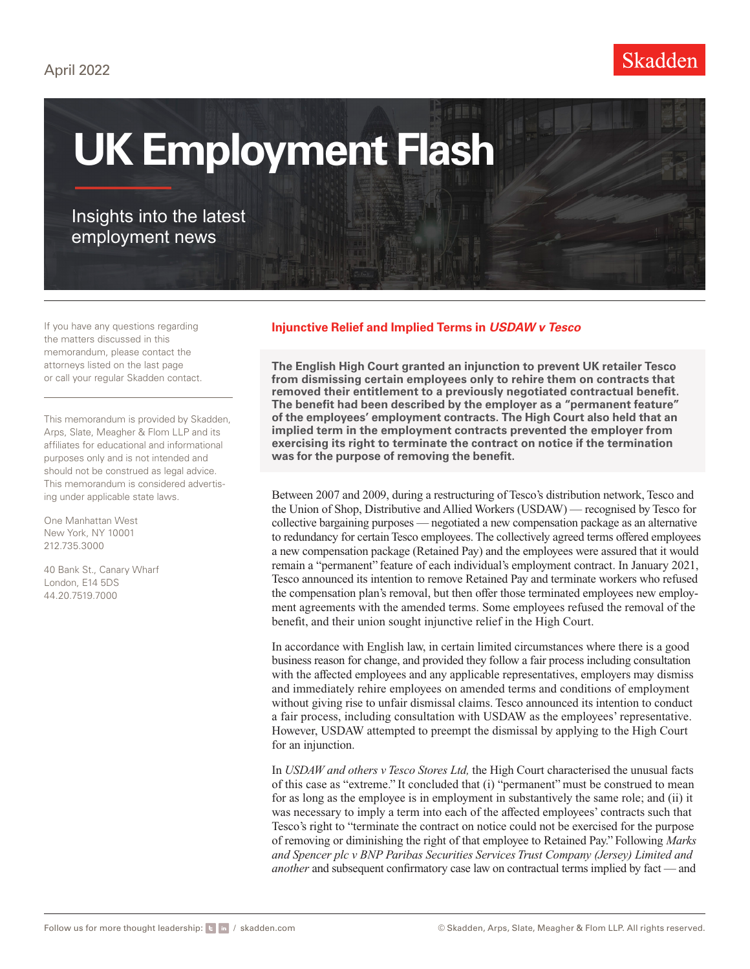### April 2022



# **UK Employment Flash**

## Insights into the latest employment news

If you have any questions regarding the matters discussed in this memorandum, please contact the attorneys listed on the last page or call your regular Skadden contact.

This memorandum is provided by Skadden, Arps, Slate, Meagher & Flom LLP and its affiliates for educational and informational purposes only and is not intended and should not be construed as legal advice. This memorandum is considered advertising under applicable state laws.

One Manhattan West New York, NY 10001 212.735.3000

40 Bank St., Canary Wharf London, E14 5DS 44.20.7519.7000

#### **Injunctive Relief and Implied Terms in** *USDAW v Tesco*

**The English High Court granted an injunction to prevent UK retailer Tesco from dismissing certain employees only to rehire them on contracts that removed their entitlement to a previously negotiated contractual benefit. The benefit had been described by the employer as a "permanent feature" of the employees' employment contracts. The High Court also held that an implied term in the employment contracts prevented the employer from exercising its right to terminate the contract on notice if the termination was for the purpose of removing the benefit.**

Between 2007 and 2009, during a restructuring of Tesco's distribution network, Tesco and the Union of Shop, Distributive and Allied Workers (USDAW) — recognised by Tesco for collective bargaining purposes — negotiated a new compensation package as an alternative to redundancy for certain Tesco employees. The collectively agreed terms offered employees a new compensation package (Retained Pay) and the employees were assured that it would remain a "permanent" feature of each individual's employment contract. In January 2021, Tesco announced its intention to remove Retained Pay and terminate workers who refused the compensation plan's removal, but then offer those terminated employees new employment agreements with the amended terms. Some employees refused the removal of the benefit, and their union sought injunctive relief in the High Court.

In accordance with English law, in certain limited circumstances where there is a good business reason for change, and provided they follow a fair process including consultation with the affected employees and any applicable representatives, employers may dismiss and immediately rehire employees on amended terms and conditions of employment without giving rise to unfair dismissal claims. Tesco announced its intention to conduct a fair process, including consultation with USDAW as the employees' representative. However, USDAW attempted to preempt the dismissal by applying to the High Court for an injunction.

In *USDAW and others v Tesco Stores Ltd,* the High Court characterised the unusual facts of this case as "extreme." It concluded that (i) "permanent" must be construed to mean for as long as the employee is in employment in substantively the same role; and (ii) it was necessary to imply a term into each of the affected employees' contracts such that Tesco's right to "terminate the contract on notice could not be exercised for the purpose of removing or diminishing the right of that employee to Retained Pay." Following *Marks and Spencer plc v BNP Paribas Securities Services Trust Company (Jersey) Limited and another* and subsequent confirmatory case law on contractual terms implied by fact — and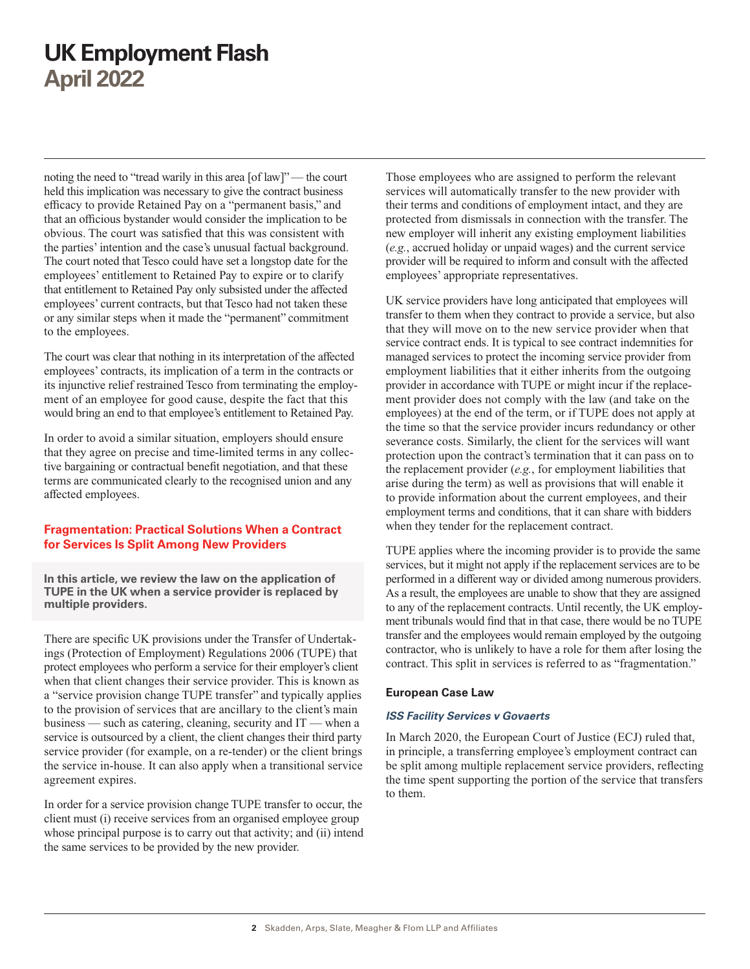noting the need to "tread warily in this area [of law]" — the court held this implication was necessary to give the contract business efficacy to provide Retained Pay on a "permanent basis," and that an officious bystander would consider the implication to be obvious. The court was satisfied that this was consistent with the parties' intention and the case's unusual factual background. The court noted that Tesco could have set a longstop date for the employees' entitlement to Retained Pay to expire or to clarify that entitlement to Retained Pay only subsisted under the affected employees' current contracts, but that Tesco had not taken these or any similar steps when it made the "permanent" commitment to the employees.

The court was clear that nothing in its interpretation of the affected employees' contracts, its implication of a term in the contracts or its injunctive relief restrained Tesco from terminating the employment of an employee for good cause, despite the fact that this would bring an end to that employee's entitlement to Retained Pay.

In order to avoid a similar situation, employers should ensure that they agree on precise and time-limited terms in any collective bargaining or contractual benefit negotiation, and that these terms are communicated clearly to the recognised union and any affected employees.

#### **Fragmentation: Practical Solutions When a Contract for Services Is Split Among New Providers**

**In this article, we review the law on the application of TUPE in the UK when a service provider is replaced by multiple providers.** 

There are specific UK provisions under the Transfer of Undertakings (Protection of Employment) Regulations 2006 (TUPE) that protect employees who perform a service for their employer's client when that client changes their service provider. This is known as a "service provision change TUPE transfer" and typically applies to the provision of services that are ancillary to the client's main business — such as catering, cleaning, security and IT — when a service is outsourced by a client, the client changes their third party service provider (for example, on a re-tender) or the client brings the service in-house. It can also apply when a transitional service agreement expires.

In order for a service provision change TUPE transfer to occur, the client must (i) receive services from an organised employee group whose principal purpose is to carry out that activity; and (ii) intend the same services to be provided by the new provider.

Those employees who are assigned to perform the relevant services will automatically transfer to the new provider with their terms and conditions of employment intact, and they are protected from dismissals in connection with the transfer. The new employer will inherit any existing employment liabilities (*e.g.*, accrued holiday or unpaid wages) and the current service provider will be required to inform and consult with the affected employees' appropriate representatives.

UK service providers have long anticipated that employees will transfer to them when they contract to provide a service, but also that they will move on to the new service provider when that service contract ends. It is typical to see contract indemnities for managed services to protect the incoming service provider from employment liabilities that it either inherits from the outgoing provider in accordance with TUPE or might incur if the replacement provider does not comply with the law (and take on the employees) at the end of the term, or if TUPE does not apply at the time so that the service provider incurs redundancy or other severance costs. Similarly, the client for the services will want protection upon the contract's termination that it can pass on to the replacement provider (*e.g.*, for employment liabilities that arise during the term) as well as provisions that will enable it to provide information about the current employees, and their employment terms and conditions, that it can share with bidders when they tender for the replacement contract.

TUPE applies where the incoming provider is to provide the same services, but it might not apply if the replacement services are to be performed in a different way or divided among numerous providers. As a result, the employees are unable to show that they are assigned to any of the replacement contracts. Until recently, the UK employment tribunals would find that in that case, there would be no TUPE transfer and the employees would remain employed by the outgoing contractor, who is unlikely to have a role for them after losing the contract. This split in services is referred to as "fragmentation."

#### **European Case Law**

#### *ISS Facility Services v Govaerts*

In March 2020, the European Court of Justice (ECJ) ruled that, in principle, a transferring employee's employment contract can be split among multiple replacement service providers, reflecting the time spent supporting the portion of the service that transfers to them.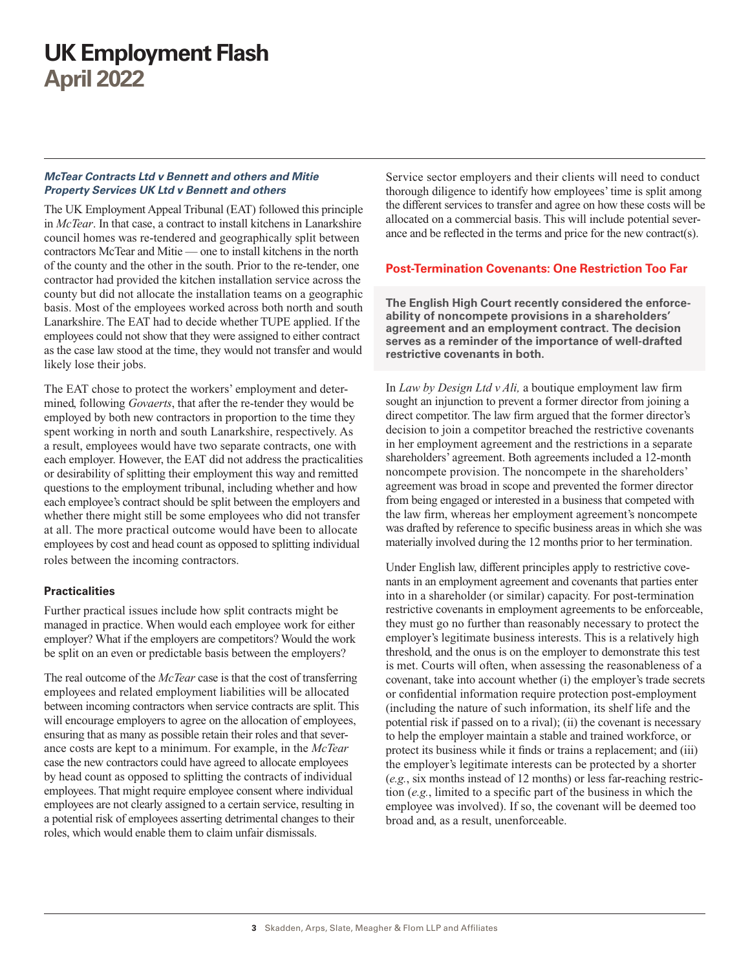#### *McTear Contracts Ltd v Bennett and others and Mitie Property Services UK Ltd v Bennett and others*

The UK Employment Appeal Tribunal (EAT) followed this principle in *McTear*. In that case, a contract to install kitchens in Lanarkshire council homes was re-tendered and geographically split between contractors McTear and Mitie — one to install kitchens in the north of the county and the other in the south. Prior to the re-tender, one contractor had provided the kitchen installation service across the county but did not allocate the installation teams on a geographic basis. Most of the employees worked across both north and south Lanarkshire. The EAT had to decide whether TUPE applied. If the employees could not show that they were assigned to either contract as the case law stood at the time, they would not transfer and would likely lose their jobs.

The EAT chose to protect the workers' employment and determined, following *Govaerts*, that after the re-tender they would be employed by both new contractors in proportion to the time they spent working in north and south Lanarkshire, respectively. As a result, employees would have two separate contracts, one with each employer. However, the EAT did not address the practicalities or desirability of splitting their employment this way and remitted questions to the employment tribunal, including whether and how each employee's contract should be split between the employers and whether there might still be some employees who did not transfer at all. The more practical outcome would have been to allocate employees by cost and head count as opposed to splitting individual roles between the incoming contractors.

#### **Practicalities**

Further practical issues include how split contracts might be managed in practice. When would each employee work for either employer? What if the employers are competitors? Would the work be split on an even or predictable basis between the employers?

The real outcome of the *McTear* case is that the cost of transferring employees and related employment liabilities will be allocated between incoming contractors when service contracts are split. This will encourage employers to agree on the allocation of employees, ensuring that as many as possible retain their roles and that severance costs are kept to a minimum. For example, in the *McTear* case the new contractors could have agreed to allocate employees by head count as opposed to splitting the contracts of individual employees. That might require employee consent where individual employees are not clearly assigned to a certain service, resulting in a potential risk of employees asserting detrimental changes to their roles, which would enable them to claim unfair dismissals.

Service sector employers and their clients will need to conduct thorough diligence to identify how employees' time is split among the different services to transfer and agree on how these costs will be allocated on a commercial basis. This will include potential severance and be reflected in the terms and price for the new contract(s).

#### **Post-Termination Covenants: One Restriction Too Far**

**The English High Court recently considered the enforceability of noncompete provisions in a shareholders' agreement and an employment contract. The decision serves as a reminder of the importance of well-drafted restrictive covenants in both.** 

In *Law by Design Ltd v Ali,* a boutique employment law firm sought an injunction to prevent a former director from joining a direct competitor. The law firm argued that the former director's decision to join a competitor breached the restrictive covenants in her employment agreement and the restrictions in a separate shareholders' agreement. Both agreements included a 12-month noncompete provision. The noncompete in the shareholders' agreement was broad in scope and prevented the former director from being engaged or interested in a business that competed with the law firm, whereas her employment agreement's noncompete was drafted by reference to specific business areas in which she was materially involved during the 12 months prior to her termination.

Under English law, different principles apply to restrictive covenants in an employment agreement and covenants that parties enter into in a shareholder (or similar) capacity. For post-termination restrictive covenants in employment agreements to be enforceable, they must go no further than reasonably necessary to protect the employer's legitimate business interests. This is a relatively high threshold, and the onus is on the employer to demonstrate this test is met. Courts will often, when assessing the reasonableness of a covenant, take into account whether (i) the employer's trade secrets or confidential information require protection post-employment (including the nature of such information, its shelf life and the potential risk if passed on to a rival); (ii) the covenant is necessary to help the employer maintain a stable and trained workforce, or protect its business while it finds or trains a replacement; and (iii) the employer's legitimate interests can be protected by a shorter (*e.g.*, six months instead of 12 months) or less far-reaching restriction (*e.g.*, limited to a specific part of the business in which the employee was involved). If so, the covenant will be deemed too broad and, as a result, unenforceable.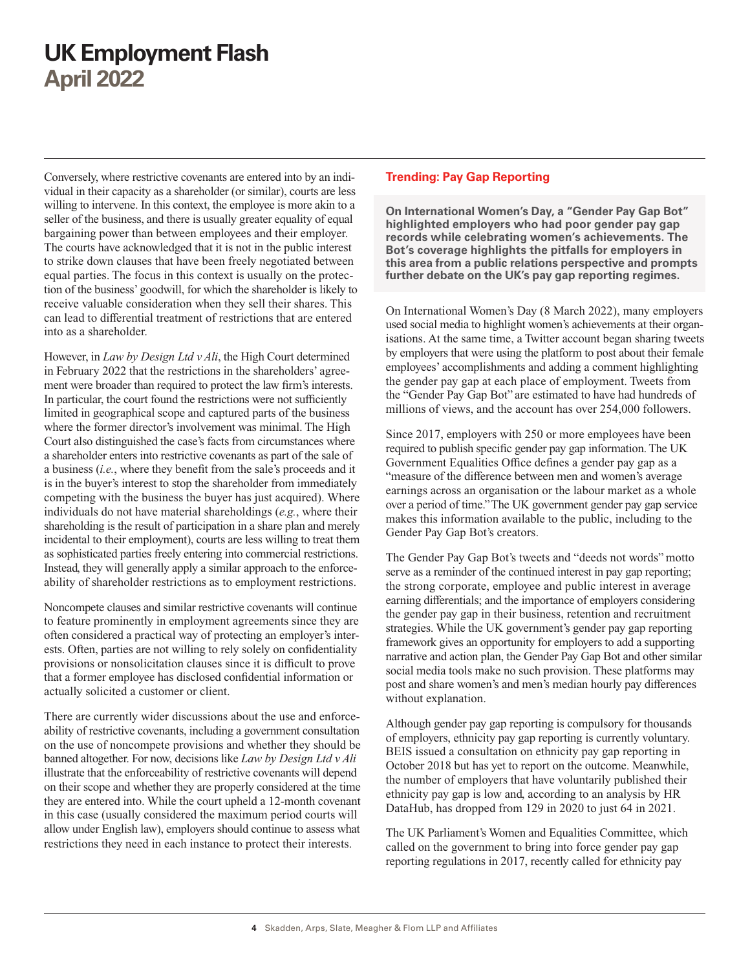Conversely, where restrictive covenants are entered into by an individual in their capacity as a shareholder (or similar), courts are less willing to intervene. In this context, the employee is more akin to a seller of the business, and there is usually greater equality of equal bargaining power than between employees and their employer. The courts have acknowledged that it is not in the public interest to strike down clauses that have been freely negotiated between equal parties. The focus in this context is usually on the protection of the business' goodwill, for which the shareholder is likely to receive valuable consideration when they sell their shares. This can lead to differential treatment of restrictions that are entered into as a shareholder.

However, in *Law by Design Ltd v Ali*, the High Court determined in February 2022 that the restrictions in the shareholders' agreement were broader than required to protect the law firm's interests. In particular, the court found the restrictions were not sufficiently limited in geographical scope and captured parts of the business where the former director's involvement was minimal. The High Court also distinguished the case's facts from circumstances where a shareholder enters into restrictive covenants as part of the sale of a business (*i.e.*, where they benefit from the sale's proceeds and it is in the buyer's interest to stop the shareholder from immediately competing with the business the buyer has just acquired). Where individuals do not have material shareholdings (*e.g.*, where their shareholding is the result of participation in a share plan and merely incidental to their employment), courts are less willing to treat them as sophisticated parties freely entering into commercial restrictions. Instead, they will generally apply a similar approach to the enforceability of shareholder restrictions as to employment restrictions.

Noncompete clauses and similar restrictive covenants will continue to feature prominently in employment agreements since they are often considered a practical way of protecting an employer's interests. Often, parties are not willing to rely solely on confidentiality provisions or nonsolicitation clauses since it is difficult to prove that a former employee has disclosed confidential information or actually solicited a customer or client.

There are currently wider discussions about the use and enforceability of restrictive covenants, including a government consultation on the use of noncompete provisions and whether they should be banned altogether. For now, decisions like *Law by Design Ltd v Ali* illustrate that the enforceability of restrictive covenants will depend on their scope and whether they are properly considered at the time they are entered into. While the court upheld a 12-month covenant in this case (usually considered the maximum period courts will allow under English law), employers should continue to assess what restrictions they need in each instance to protect their interests.

#### **Trending: Pay Gap Reporting**

**On International Women's Day, a "Gender Pay Gap Bot" highlighted employers who had poor gender pay gap records while celebrating women's achievements. The Bot's coverage highlights the pitfalls for employers in this area from a public relations perspective and prompts further debate on the UK's pay gap reporting regimes.**

On International Women's Day (8 March 2022), many employers used social media to highlight women's achievements at their organisations. At the same time, a Twitter account began sharing tweets by employers that were using the platform to post about their female employees' accomplishments and adding a comment highlighting the gender pay gap at each place of employment. Tweets from the "Gender Pay Gap Bot" are estimated to have had hundreds of millions of views, and the account has over 254,000 followers.

Since 2017, employers with 250 or more employees have been required to publish specific gender pay gap information. The UK Government Equalities Office defines a gender pay gap as a "measure of the difference between men and women's average earnings across an organisation or the labour market as a whole over a period of time." The UK government gender pay gap service makes this information available to the public, including to the Gender Pay Gap Bot's creators.

The Gender Pay Gap Bot's tweets and "deeds not words" motto serve as a reminder of the continued interest in pay gap reporting; the strong corporate, employee and public interest in average earning differentials; and the importance of employers considering the gender pay gap in their business, retention and recruitment strategies. While the UK government's gender pay gap reporting framework gives an opportunity for employers to add a supporting narrative and action plan, the Gender Pay Gap Bot and other similar social media tools make no such provision. These platforms may post and share women's and men's median hourly pay differences without explanation.

Although gender pay gap reporting is compulsory for thousands of employers, ethnicity pay gap reporting is currently voluntary. BEIS issued a consultation on ethnicity pay gap reporting in October 2018 but has yet to report on the outcome. Meanwhile, the number of employers that have voluntarily published their ethnicity pay gap is low and, according to an analysis by HR DataHub, has dropped from 129 in 2020 to just 64 in 2021.

The UK Parliament's Women and Equalities Committee, which called on the government to bring into force gender pay gap reporting regulations in 2017, recently called for ethnicity pay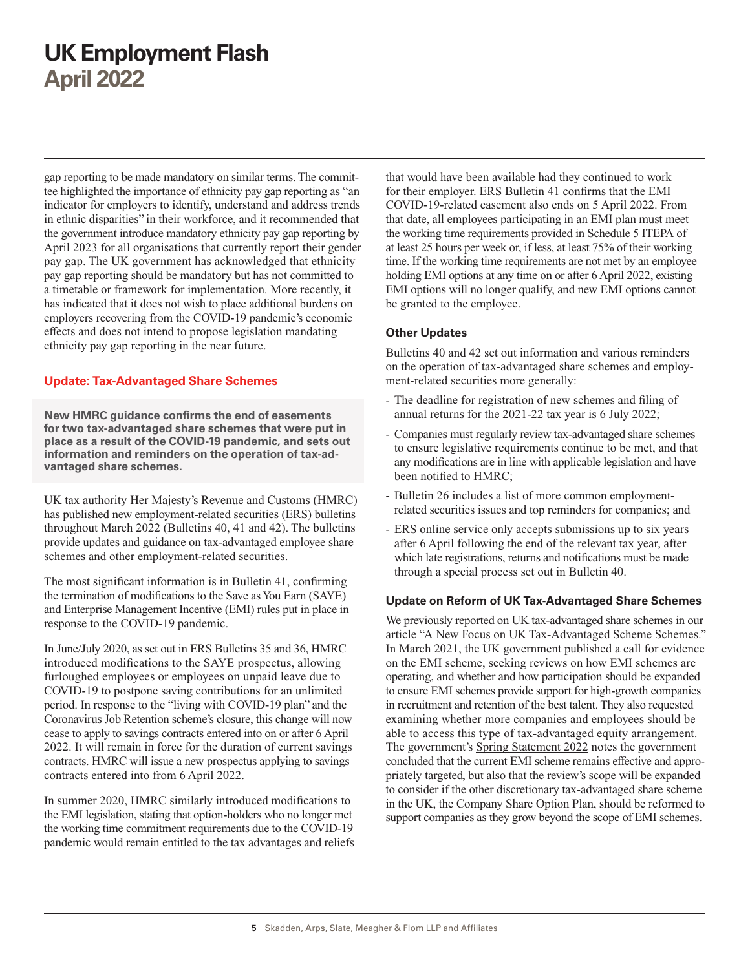gap reporting to be made mandatory on similar terms. The committee highlighted the importance of ethnicity pay gap reporting as "an indicator for employers to identify, understand and address trends in ethnic disparities" in their workforce, and it recommended that the government introduce mandatory ethnicity pay gap reporting by April 2023 for all organisations that currently report their gender pay gap. The UK government has acknowledged that ethnicity pay gap reporting should be mandatory but has not committed to a timetable or framework for implementation. More recently, it has indicated that it does not wish to place additional burdens on employers recovering from the COVID-19 pandemic's economic effects and does not intend to propose legislation mandating ethnicity pay gap reporting in the near future.

#### **Update: Tax-Advantaged Share Schemes**

**New HMRC guidance confirms the end of easements for two tax-advantaged share schemes that were put in place as a result of the COVID-19 pandemic, and sets out information and reminders on the operation of tax-advantaged share schemes.**

UK tax authority Her Majesty's Revenue and Customs (HMRC) has published new employment-related securities (ERS) bulletins throughout March 2022 (Bulletins 40, 41 and 42). The bulletins provide updates and guidance on tax-advantaged employee share schemes and other employment-related securities.

The most significant information is in Bulletin 41, confirming the termination of modifications to the Save as You Earn (SAYE) and Enterprise Management Incentive (EMI) rules put in place in response to the COVID-19 pandemic.

In June/July 2020, as set out in ERS Bulletins 35 and 36, HMRC introduced modifications to the SAYE prospectus, allowing furloughed employees or employees on unpaid leave due to COVID-19 to postpone saving contributions for an unlimited period. In response to the "living with COVID-19 plan" and the Coronavirus Job Retention scheme's closure, this change will now cease to apply to savings contracts entered into on or after 6 April 2022. It will remain in force for the duration of current savings contracts. HMRC will issue a new prospectus applying to savings contracts entered into from 6 April 2022.

In summer 2020, HMRC similarly introduced modifications to the EMI legislation, stating that option-holders who no longer met the working time commitment requirements due to the COVID-19 pandemic would remain entitled to the tax advantages and reliefs that would have been available had they continued to work for their employer. ERS Bulletin 41 confirms that the EMI COVID-19-related easement also ends on 5 April 2022. From that date, all employees participating in an EMI plan must meet the working time requirements provided in Schedule 5 ITEPA of at least 25 hours per week or, if less, at least 75% of their working time. If the working time requirements are not met by an employee holding EMI options at any time on or after 6 April 2022, existing EMI options will no longer qualify, and new EMI options cannot be granted to the employee.

#### **Other Updates**

Bulletins 40 and 42 set out information and various reminders on the operation of tax-advantaged share schemes and employment-related securities more generally:

- The deadline for registration of new schemes and filing of annual returns for the 2021-22 tax year is 6 July 2022;
- Companies must regularly review tax-advantaged share schemes to ensure legislative requirements continue to be met, and that any modifications are in line with applicable legislation and have been notified to HMRC;
- [Bulletin 26](https://www.gov.uk/guidance/employment-related-securities-bulletin-26-march-2018#most-common-ers-issues-encountered) includes a list of more common employmentrelated securities issues and top reminders for companies; and
- ERS online service only accepts submissions up to six years after 6 April following the end of the relevant tax year, after which late registrations, returns and notifications must be made through a special process set out in Bulletin 40.

#### **Update on Reform of UK Tax-Advantaged Share Schemes**

We previously reported on UK tax-advantaged share schemes in our article ["A New Focus on UK Tax-Advantaged Scheme Schemes](https://www.skadden.com/insights/publications/2020/09/a-new-focus-on-uk-tax-advantaged-share-schemes)." In March 2021, the UK government published a call for evidence on the EMI scheme, seeking reviews on how EMI schemes are operating, and whether and how participation should be expanded to ensure EMI schemes provide support for high-growth companies in recruitment and retention of the best talent. They also requested examining whether more companies and employees should be able to access this type of tax-advantaged equity arrangement. The government's [Spring Statement 2022](https://www.skadden.com/-/media/files/publications/2022/04/uk-employment-flash/spring_statement_2022_web_accessible-(1).pdf) notes the government concluded that the current EMI scheme remains effective and appropriately targeted, but also that the review's scope will be expanded to consider if the other discretionary tax-advantaged share scheme in the UK, the Company Share Option Plan, should be reformed to support companies as they grow beyond the scope of EMI schemes.